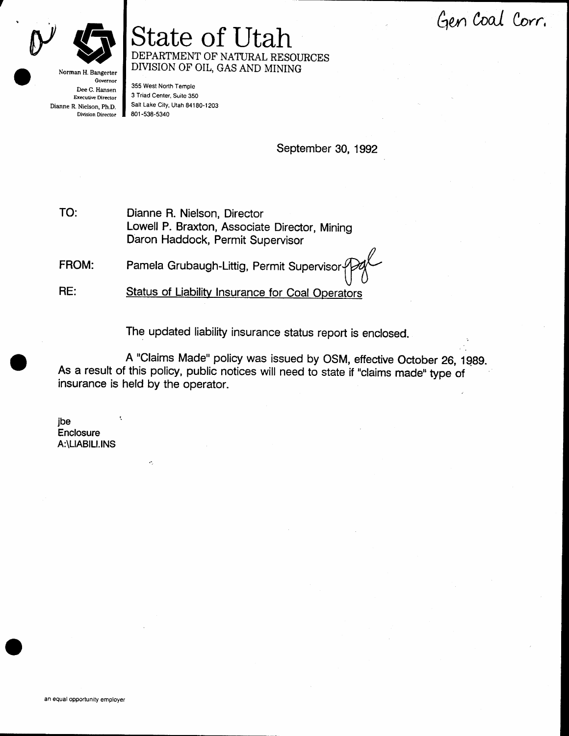Gen Coal Corr.



Norman H. Bangerter Governor Dee C. Hansen Executive Director Dianne R. Nielson, Ph.D. Division Director

## State of Utah DEPARTMENT OF NATURAL RESOURCES DIVISION OF OIL, GAS AND MINING

355 West North Temple 3 Triad Center, Suite 3S0 salr Lake ciry, Utah 84180-1203 801 -538-5340

September 30, 1gg2

TO: Dianne R. Nielson, Director Lowell P. Braxton, Associate Director, Mining Daron Haddock, Permit Supervisor

FROM: Pamela Grubaugh-Littig, Permit Superviso

Status of Liability Insurance for Coal Operators RE:

The updated liability insurance status report is enclosed.

A "Claims Made" policy was issued by OSM, effective October 26, 1989. As a result of this policy, public notices will need to state if "claims made" type of insurance is held by the operator.

ibe **Enclosure** A:\LlABlLl.lNS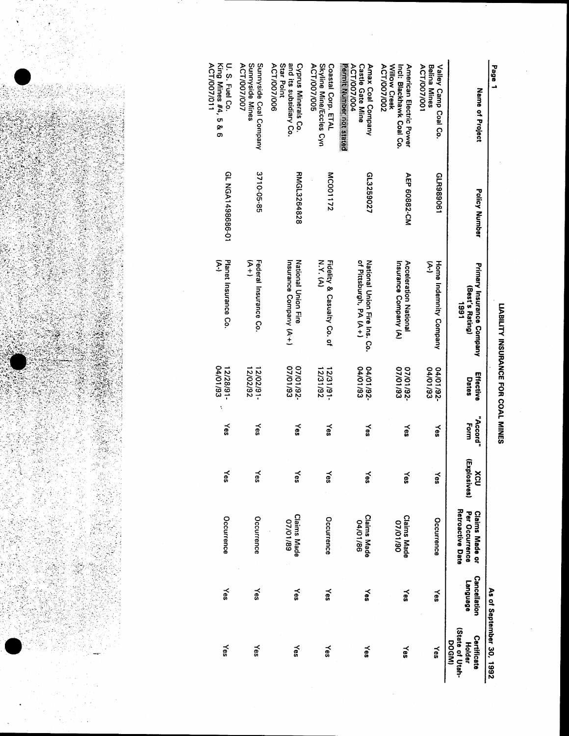

| Page 1                                                                                    |                  |                                                        |                             |                  |                     |                                                             |                                 | As of September 30, 1992                          |
|-------------------------------------------------------------------------------------------|------------------|--------------------------------------------------------|-----------------------------|------------------|---------------------|-------------------------------------------------------------|---------------------------------|---------------------------------------------------|
| Name of Project                                                                           | Policy Number    | Primary Insurance Company<br>(Best's Rating)<br>1991   | Effective<br>Dates          | "Accord"<br>Form | (Explosives)<br>XCU | Retroactive Date<br>Per Occurrence<br><b>Claims Made or</b> | <b>Cancellation</b><br>ranguage | (State of Utah-<br>Certificate<br>DOGMI<br>Holder |
| Valley Camp Coal Co.<br>ACT/007/001<br>Belina Mines                                       | GLR9890611       | E<br>Home Indemnity Company                            | 04/01/93<br>04/01/92        | ≿es              | ≿es                 | Occurrence                                                  | Yes                             | Yes                                               |
| Willow Creek<br>Incl: Blackhawk Coal Co.<br>American Electric Power<br><b>ACT/007/002</b> | AEP 60882-CM     | Acceleration National<br>Insurance Company (A)         | E6/10/20<br>-26/10/20       | ≿es              | χes                 | <b>Claims Made</b><br>06/10/20                              | ≿es                             | ≿es                                               |
| Permit Number not stated<br>Amax Coal Company<br>ACT/007/004<br><b>Castle Gate Mine</b>   | GL3259027        | of Pittsburgh, PA (A+)<br>National Union Fire Ins. Co. | 66/10/10<br>-26/10/70       | Yes              | γes                 | <b>Claims Made</b><br>04/01/86                              | ≿es                             | Yes                                               |
| Skyline Mine/Eccles Cyn<br>Coastal Corp. ETAL<br>ACT/007/005                              | MC001172         | どくど<br>Fidelity & Casualty Co. of                      | 12/31/92<br>$-16/16/21$     | γes              | $\leq$              | Occurrence                                                  | Yes                             | Yes                                               |
| Star Point<br>and its subsidiary Co.<br>ACT/007/006<br>Cyprus Minerals Co.                | RMGL3264828      | Insurance Company (A+)<br>National Chion Fire          | 07/01/93<br>-26/10/20       | ≿es              | Yes                 | <b>Claims Made</b><br>07/01/89                              | λes                             | <b>Yes</b>                                        |
| Sunnyside Mines<br>Sunnyside Coal Company<br>ACT/007/007                                  | 3710-05-85       | Federal Insurance Co.<br>V<br>→<br>→                   | 12/02/92<br>12/02/91-       | γes              | Xes                 | Occurrence                                                  | γes                             | ≿es                                               |
| ACT/007/011<br>King Mines #4, 5 & 6<br>U. S. Fuel Co.                                     | GL NGA1498686-01 | Planet Insurance Co.<br>Į                              | 04/01/93<br>12/28/91-<br>ţ, | žes              | ≿es                 | Occurrence                                                  | γes                             | ≿es                                               |

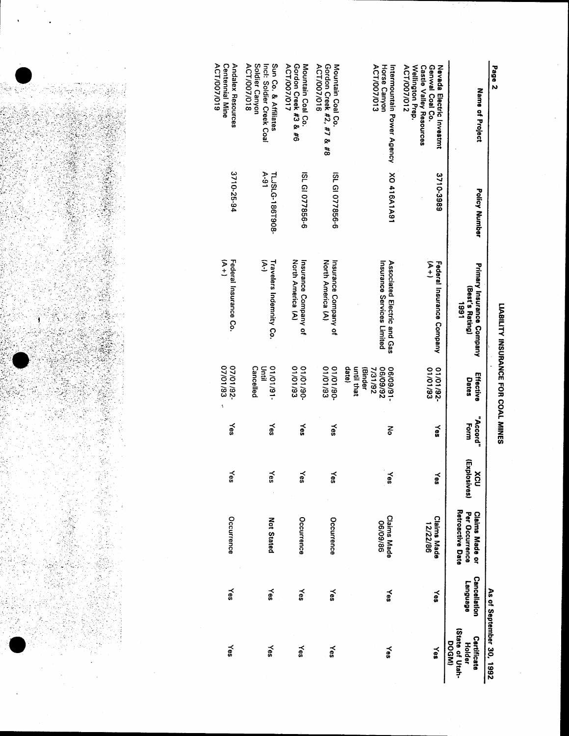| رaāa <                                                                                                         |                           |                                                           |                                                                      |                  |                            |                                                             |                                 | As of September 30, 1992                                |
|----------------------------------------------------------------------------------------------------------------|---------------------------|-----------------------------------------------------------|----------------------------------------------------------------------|------------------|----------------------------|-------------------------------------------------------------|---------------------------------|---------------------------------------------------------|
| Name of Project                                                                                                | Policy Number             | Primary Insurance Company<br>(Best's Rating)<br>1991      | Effective<br>Dates                                                   | "Accord"<br>Form | (Explosives)<br><b>NCU</b> | Retroactive Date<br>Per Occurrence<br><b>Claims Made or</b> | <b>Cancellation</b><br>ranguage | State of Utah-<br>Certificate<br>DOGMI<br><b>Holder</b> |
| ACT/007/012<br>Wellington Prep.<br>Genwal Coal Co.<br>Nevada mentro Investma<br><b>Castle Valley Resources</b> | 3710-3989                 | 分土<br>Federal Insurance Company                           | 01/01/93<br>01/01/92-                                                | ≿es              | $Y$ es                     | <b>Claims Made</b><br>12/22/86                              | ye\$                            | Yes                                                     |
| ACT/007/013<br>Horse Canyon<br>Intermountain Power Agency                                                      | <b>NO 416A1A91</b>        | Insurance Services Limited<br>Associated Electric and Gas | datel<br>until that<br>26/60/90<br>$-16/60/90$<br>(Binder<br>7/31/92 | 종                | ≿es                        | <b>Claims Made</b><br>98/60/90                              | Yes                             | ≹<br>S                                                  |
| ACT/007/016<br>Gordon Creek #2, #7 & #8<br>Mountain Coal Co.                                                   | ISL GI 077856-6           | North America (A)<br>Insurance Company of                 | 01/01/93<br>-06/10/10                                                | γes              | ≿es                        | Occurrence                                                  | Yes                             | ≿es                                                     |
| Gordon Creek #3 & #6<br>ACT/007/017<br>Mountain Coal Co.                                                       | ISL GI 077856-6           | North America (A)<br>Insurance Company of                 | 01/01/93<br>08/10/10                                                 | Yes              | Yes                        | Occurrence                                                  | γes                             | Yes                                                     |
| Soldier Canyon<br>Sun Co. & Affiliates<br>ACT/007/018<br>Incl: Soldier Creek Coal                              | $V-91$<br>TLJSLG-186T908- | بر<br>پ<br>Travelers Indemnity Co.                        | Cancelled<br>$-16/10/10$<br>Druil                                    | ≿es              | $X$ es                     | <b>Not Stated</b>                                           | γes                             | Yes                                                     |
| <b>Centennial Mine</b><br><b>Andalex Resources</b><br>ACT/007/019                                              | 3710-25-94                | $(4 + 1)$<br>Federal Insurance Co.                        | 07/01/93<br>-26/10/20<br>ť                                           | γes              | ≿es                        | Occurrence                                                  | ≿es                             | kes                                                     |

ļ

Page 2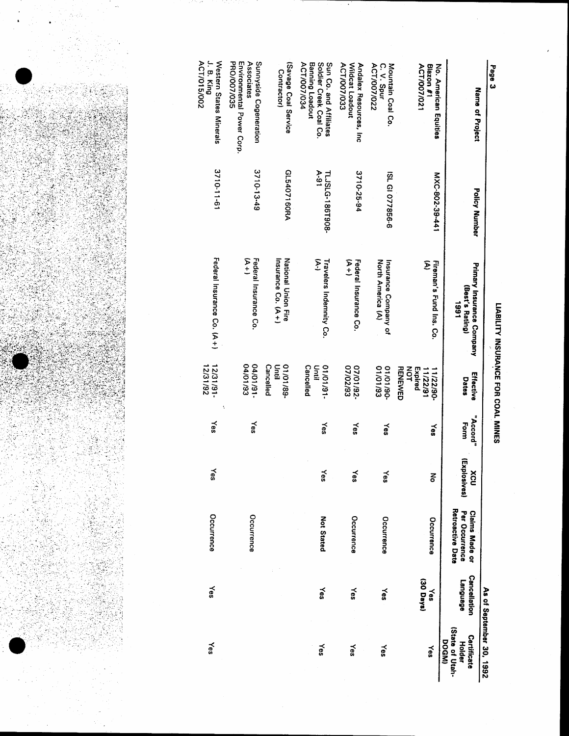

|                                                                                           |                           |                                                      |                                                          |                  |                          |                                                                    |                                 | As of September 30, 1992                                 |
|-------------------------------------------------------------------------------------------|---------------------------|------------------------------------------------------|----------------------------------------------------------|------------------|--------------------------|--------------------------------------------------------------------|---------------------------------|----------------------------------------------------------|
| Name of Project                                                                           | <b>Policy Number</b>      | Primary Insurance Company<br>(Best's Rating)<br>1661 | Effective<br>Dates                                       | "Accord"<br>Form | (Explc<br>XCU<br>Csives) | <b>Hetroactive Date</b><br>Per Occurrence<br><b>Claims Made or</b> | <b>Cancellation</b><br>ranguage | (State of Utah-<br>Certificate<br>DOGMI<br><b>Holder</b> |
| Blazon #1<br>No. American Equities<br><b>ACT/007/021</b>                                  | MXC-802-39-441            | Σ<br>Fireman's Fund Ins. Co.                         | <b>RENEWED</b><br>NOT<br>Expired<br>11/22/91<br>11/22/90 | Yes              | á                        | Occurrence                                                         | (30 Days)<br>$\leq$             | Yes                                                      |
| ACT/007/022<br>Mountain Coal Co.<br>C. V. Spur                                            | ISL GI 077856-6           | North America (A)<br>Insurance Company of            | 01/01/93<br>06/10/10                                     | ≿es              | Yes                      | Occurrence                                                         | Yes                             | ≿es                                                      |
| ACT/007/033<br>Wildcat Loadout<br>Andalex Resources, Inc                                  | 3710-25-94                | タナ<br>Federal Insurance Co.                          | 07/02/93<br>-26/10/20                                    | ≿es              | Yes                      | Occurrence                                                         | Yes                             | Yes                                                      |
| Sun Co. and Affiliates<br>ACT/007/034<br><b>Banning Loadout</b><br>Soldier Creek Coal Co. | $A-91$<br>TLJSLG-186T908- | تر<br>با<br>Travelers Indemnity Co.                  | <b>Cancelled</b><br>$-16/10/10$<br>Until                 | λ€               | ≿es                      | <b>Not Stated</b>                                                  | ≿es                             | γes                                                      |
| (Savage Coal Service<br><b>Contractor</b>                                                 | GL5407160RA               | Insurance Co. (A+)<br><b>National Union Fire</b>     | Cancelled<br>01/01/89-<br>Until                          |                  |                          |                                                                    |                                 |                                                          |
| PRO/007/035<br>Environmental Power Corp.<br>Associates<br>Sunnyside Cogeneration          | 3710-13-49                | (A+)<br>Federal Insurance Co.                        | 04/01/93<br>$-16/10/100$                                 | γes              |                          | Occurrence                                                         |                                 |                                                          |
| $J. B.$ King<br>Western States Minerals<br>ACT/015/002                                    | 3710-11-61                | Federal Insurance Co. (A+)                           | 12/31/92<br>12/31/91-                                    | Yes              | Yes                      | Occurrence                                                         | Yes                             | ≿es                                                      |

LIABILITY INSURANCE FOR COAL MINES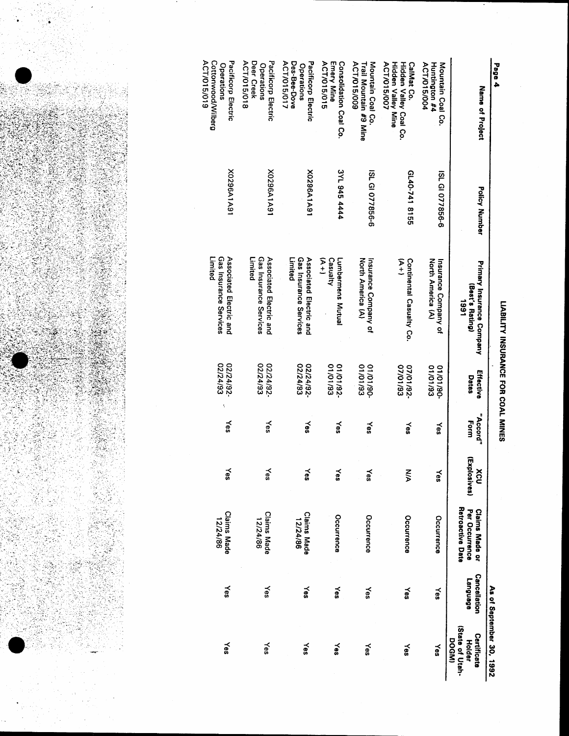LIABILITY INSURANCE FOR COAL MINES

Deer Creek Pacificorp Electric Des-Bee-Dove Consolidation Coal Co. ACT/015/018 ACT/015/017 Pacificorp Electric ACT/015/015 Emery Mine ACT/015/009 Trail Mountain #9 Mine Mountain Coal Co. ACT/015/007 Hidden Valley Coal Co.<br>Hidden Valley Mine CalMat Co. ACT/015/004 Huntington #4 Mountain Coal Co. Operations Operations Name of Project X0296A1A91 16A1A9520X 3YL 945 4444 ISL GI 077856-6 6140-741 8155 ISL GI 077856-6 **Policy Number** Limited Gas Insurance Services  $\frac{1}{2}$ Associated Electric and Limited Gas Insurance Services Associated Electric and Casualty North America (A) Insurance Company of  $\frac{1}{2}$ Continental Casualty Co. Insurance Company of<br>North America (A) Lumbermens Mutual Primary Insurance Company<br>(Best's Rating) 1991 01/01/93<br>-01/01/19 02/24/92-02/24/92-01/01/92 01/01/93 07/01/92-07/01/93 Effective Dates "Accord" Form Yes yes λes yes ≿es ≿es (Explosives) ≿es  $\leq$  $\tilde{e}$ xcu Yes ŠΝ ≿es Retroactive Date Claims Made or<br>Per Occurrence **Claims Made**<br>12/24/86 **Claims Made**<br>12/24/86 Occurrence Occurrence Occurrence Occurrence Cancellation Fanguage Yes kes Xes  $\leq$ As of September 30, 1992  $\leq$ Yes (State of Utah-Certificate **DOGMI Holder**  $X$ es  $Yes$ γes ≿es ≿es ≿es



Cottonwood/Wilberg Pacificorp Electric

**Operations** 

X0296A1A91

Limited

Gas Insurance Services Associated Electric and

02/24/92

Yes

≿es

**Claims Made** 

Yes

Yes

12/24/86

ACT/015/019

Page 4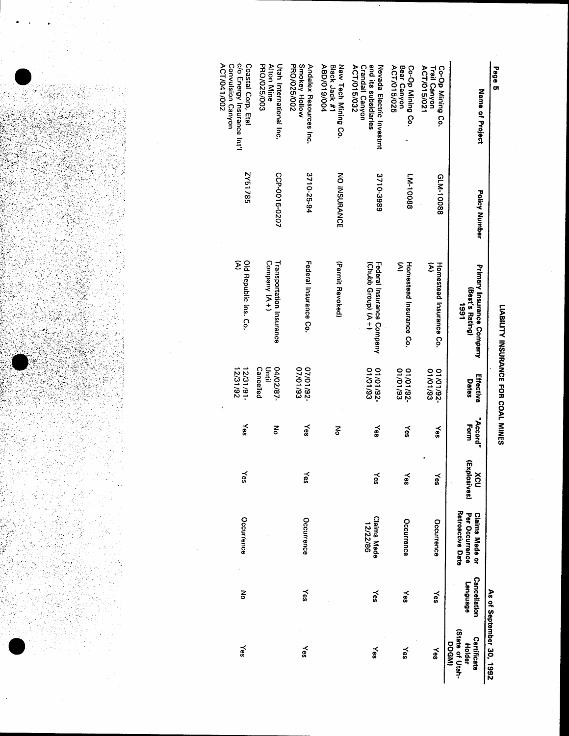LIABILITY INSURANCE FOR COAL MINES

c/o Energy Insurance Int'l<br>Convulsion Canyon PRO/025/003 Smokey Hollow Coastal Corp, Etal Alton Mine Utah International Inc. **PRO/025/002** Andalex Resources Inc. Nevada Electric Investmt<br>and its subsidiaries ABD/019/004 Black Jack #1 New Tech Mining Co. Co-Op Mining Co. ACT/015/032 **Crandall Canyon** Bear Canyon<br>ACT/015/025 ACT/015/021 Co-Op Mining Co.<br>Trail Canyon Page 5 Name of Project 2Y51785 CCP-0016-0207 3710-25-94 NO INSURANCE 3710-3989 **LM-10088** GLM-10088 **Policy Number** Old Republic Ins. Co.<br>(A) Company (A+) Transportation Insurance Federal Insurance Co. (Permit Revoked) Federal Insurance Company<br>(Chubb Group) (A+) Σ Homestead Insurance Co. Homestead Insurance Co.<br>(A) Primary Insurance Company (Best's Rating) 1661 07/01/92-12/31/91-Until 01/01/92-01/01/92-011/01/92 04/02/87-Cancelled Effective Dates "Accord" Form χes Yes ξ چ λes Yes **Xes** (Explosives) Yes Yes Yes xcv Yes Yes Per Occurrence Retroactive Date Claims Made or **Claims Made**<br>12/22/86 Occurrence Occurrence Occurrence Occurrence Cancellation **Language** Yes  $\times$ š Yes As of September 30, 1992 Yes (State of Utah-Certificate **DOGMI Holder** Yes  $\leq$ χes  $X_{\theta S}$ Yes

ACT/041/002

 $\ddot{\cdot}$